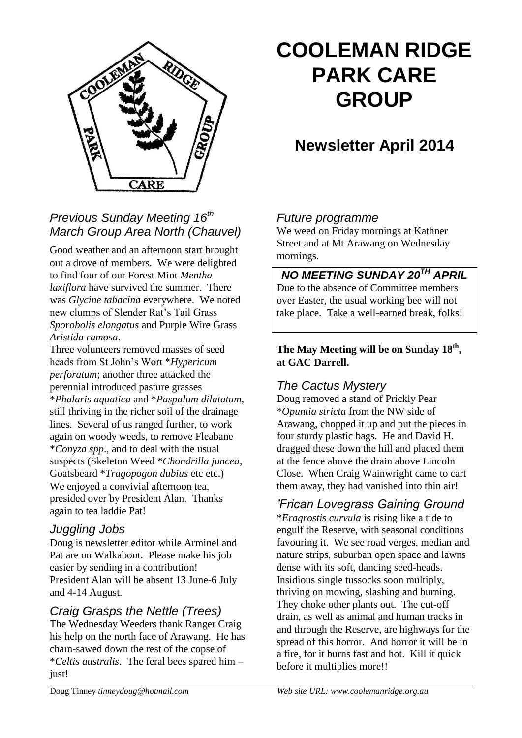

## *Previous Sunday Meeting 16th March Group Area North (Chauvel)*

Good weather and an afternoon start brought out a drove of members. We were delighted to find four of our Forest Mint *Mentha laxiflora* have survived the summer. There was *Glycine tabacina* everywhere. We noted new clumps of Slender Rat's Tail Grass *Sporobolis elongatus* and Purple Wire Grass *Aristida ramosa*.

Three volunteers removed masses of seed heads from St John's Wort \**Hypericum perforatum*; another three attacked the perennial introduced pasture grasses \**Phalaris aquatica* and \**Paspalum dilatatum*, still thriving in the richer soil of the drainage lines. Several of us ranged further, to work again on woody weeds, to remove Fleabane \**Conyza spp*., and to deal with the usual suspects (Skeleton Weed \**Chondrilla juncea*, Goatsbeard \**Tragopogon dubius* etc etc.) We enjoyed a convivial afternoon tea, presided over by President Alan. Thanks again to tea laddie Pat!

#### *Juggling Jobs*

Doug is newsletter editor while Arminel and Pat are on Walkabout. Please make his job easier by sending in a contribution! President Alan will be absent 13 June-6 July and 4-14 August.

## *Craig Grasps the Nettle (Trees)*

The Wednesday Weeders thank Ranger Craig his help on the north face of Arawang. He has chain-sawed down the rest of the copse of \**Celtis australis*. The feral bees spared him – just!

# **COOLEMAN RIDGE PARK CARE GROUP**

## **Newsletter April 2014**

## *Future programme*

We weed on Friday mornings at Kathner Street and at Mt Arawang on Wednesday mornings.

*NO MEETING SUNDAY 20TH APRIL* Due to the absence of Committee members over Easter, the usual working bee will not take place. Take a well-earned break, folks!

#### **The May Meeting will be on Sunday 18th , at GAC Darrell.**

## *The Cactus Mystery*

Doug removed a stand of Prickly Pear \**Opuntia stricta* from the NW side of Arawang, chopped it up and put the pieces in four sturdy plastic bags. He and David H. dragged these down the hill and placed them at the fence above the drain above Lincoln Close. When Craig Wainwright came to cart them away, they had vanished into thin air!

## *'Frican Lovegrass Gaining Ground*

\**Eragrostis curvula* is rising like a tide to engulf the Reserve, with seasonal conditions favouring it. We see road verges, median and nature strips, suburban open space and lawns dense with its soft, dancing seed-heads. Insidious single tussocks soon multiply, thriving on mowing, slashing and burning. They choke other plants out. The cut-off drain, as well as animal and human tracks in and through the Reserve, are highways for the spread of this horror. And horror it will be in a fire, for it burns fast and hot. Kill it quick before it multiplies more!!